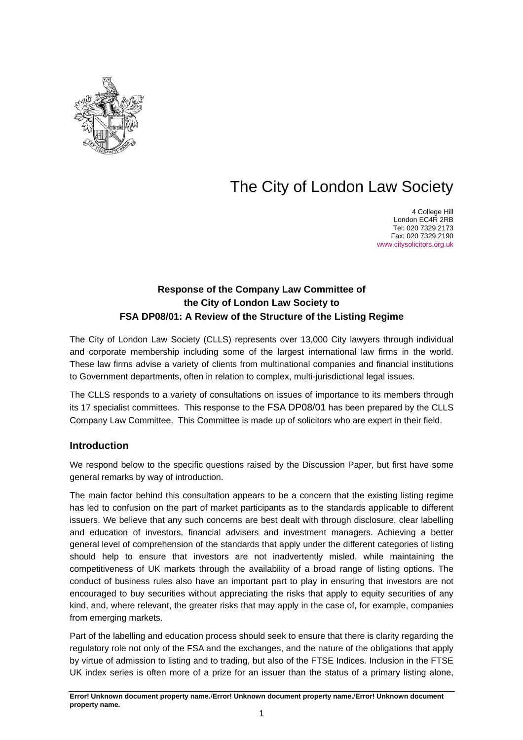

# The City of London Law Society

4 College Hill London EC4R 2RB Tel: 020 7329 2173 Fax: 020 7329 2190 [www.citysolicitors.org.uk](http://www.citysolicitors.org.uk/)

## **Response of the Company Law Committee of the City of London Law Society to FSA DP08/01: A Review of the Structure of the Listing Regime**

The City of London Law Society (CLLS) represents over 13,000 City lawyers through individual and corporate membership including some of the largest international law firms in the world. These law firms advise a variety of clients from multinational companies and financial institutions to Government departments, often in relation to complex, multi-jurisdictional legal issues.

The CLLS responds to a variety of consultations on issues of importance to its members through its 17 specialist committees. This response to the FSA DP08/01 has been prepared by the CLLS Company Law Committee. This Committee is made up of solicitors who are expert in their field.

### **Introduction**

We respond below to the specific questions raised by the Discussion Paper, but first have some general remarks by way of introduction.

The main factor behind this consultation appears to be a concern that the existing listing regime has led to confusion on the part of market participants as to the standards applicable to different issuers. We believe that any such concerns are best dealt with through disclosure, clear labelling and education of investors, financial advisers and investment managers. Achieving a better general level of comprehension of the standards that apply under the different categories of listing should help to ensure that investors are not inadvertently misled, while maintaining the competitiveness of UK markets through the availability of a broad range of listing options. The conduct of business rules also have an important part to play in ensuring that investors are not encouraged to buy securities without appreciating the risks that apply to equity securities of any kind, and, where relevant, the greater risks that may apply in the case of, for example, companies from emerging markets.

Part of the labelling and education process should seek to ensure that there is clarity regarding the regulatory role not only of the FSA and the exchanges, and the nature of the obligations that apply by virtue of admission to listing and to trading, but also of the FTSE Indices. Inclusion in the FTSE UK index series is often more of a prize for an issuer than the status of a primary listing alone,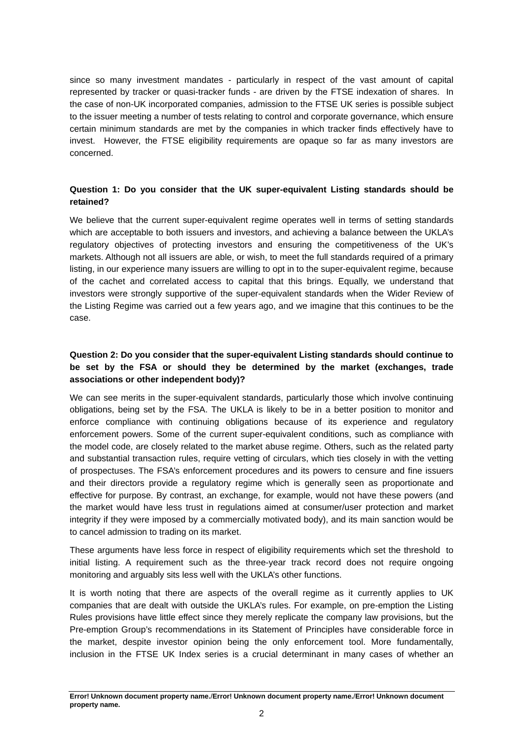since so many investment mandates - particularly in respect of the vast amount of capital represented by tracker or quasi-tracker funds - are driven by the FTSE indexation of shares. In the case of non-UK incorporated companies, admission to the FTSE UK series is possible subject to the issuer meeting a number of tests relating to control and corporate governance, which ensure certain minimum standards are met by the companies in which tracker finds effectively have to invest. However, the FTSE eligibility requirements are opaque so far as many investors are concerned.

#### **Question 1: Do you consider that the UK super-equivalent Listing standards should be retained?**

We believe that the current super-equivalent regime operates well in terms of setting standards which are acceptable to both issuers and investors, and achieving a balance between the UKLA's regulatory objectives of protecting investors and ensuring the competitiveness of the UK's markets. Although not all issuers are able, or wish, to meet the full standards required of a primary listing, in our experience many issuers are willing to opt in to the super-equivalent regime, because of the cachet and correlated access to capital that this brings. Equally, we understand that investors were strongly supportive of the super-equivalent standards when the Wider Review of the Listing Regime was carried out a few years ago, and we imagine that this continues to be the case.

#### **Question 2: Do you consider that the super-equivalent Listing standards should continue to be set by the FSA or should they be determined by the market (exchanges, trade associations or other independent body)?**

We can see merits in the super-equivalent standards, particularly those which involve continuing obligations, being set by the FSA. The UKLA is likely to be in a better position to monitor and enforce compliance with continuing obligations because of its experience and regulatory enforcement powers. Some of the current super-equivalent conditions, such as compliance with the model code, are closely related to the market abuse regime. Others, such as the related party and substantial transaction rules, require vetting of circulars, which ties closely in with the vetting of prospectuses. The FSA's enforcement procedures and its powers to censure and fine issuers and their directors provide a regulatory regime which is generally seen as proportionate and effective for purpose. By contrast, an exchange, for example, would not have these powers (and the market would have less trust in regulations aimed at consumer/user protection and market integrity if they were imposed by a commercially motivated body), and its main sanction would be to cancel admission to trading on its market.

These arguments have less force in respect of eligibility requirements which set the threshold to initial listing. A requirement such as the three-year track record does not require ongoing monitoring and arguably sits less well with the UKLA's other functions.

It is worth noting that there are aspects of the overall regime as it currently applies to UK companies that are dealt with outside the UKLA's rules. For example, on pre-emption the Listing Rules provisions have little effect since they merely replicate the company law provisions, but the Pre-emption Group's recommendations in its Statement of Principles have considerable force in the market, despite investor opinion being the only enforcement tool. More fundamentally, inclusion in the FTSE UK Index series is a crucial determinant in many cases of whether an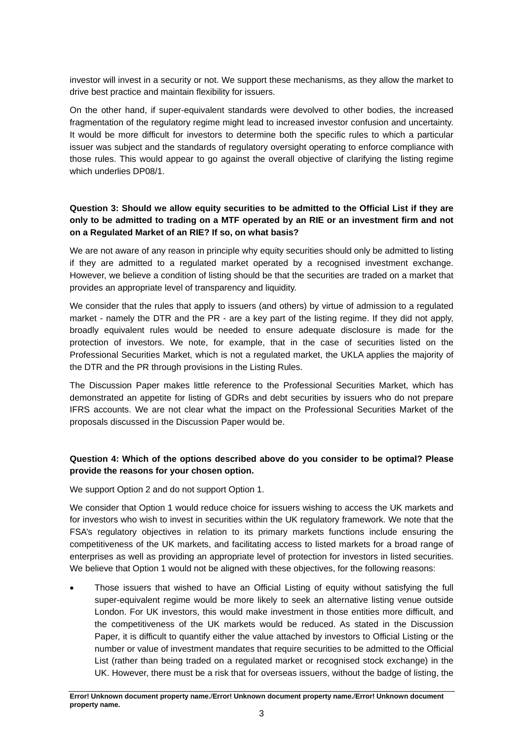investor will invest in a security or not. We support these mechanisms, as they allow the market to drive best practice and maintain flexibility for issuers.

On the other hand, if super-equivalent standards were devolved to other bodies, the increased fragmentation of the regulatory regime might lead to increased investor confusion and uncertainty. It would be more difficult for investors to determine both the specific rules to which a particular issuer was subject and the standards of regulatory oversight operating to enforce compliance with those rules. This would appear to go against the overall objective of clarifying the listing regime which underlies DP08/1.

#### **Question 3: Should we allow equity securities to be admitted to the Official List if they are only to be admitted to trading on a MTF operated by an RIE or an investment firm and not on a Regulated Market of an RIE? If so, on what basis?**

We are not aware of any reason in principle why equity securities should only be admitted to listing if they are admitted to a regulated market operated by a recognised investment exchange. However, we believe a condition of listing should be that the securities are traded on a market that provides an appropriate level of transparency and liquidity.

We consider that the rules that apply to issuers (and others) by virtue of admission to a regulated market - namely the DTR and the PR - are a key part of the listing regime. If they did not apply, broadly equivalent rules would be needed to ensure adequate disclosure is made for the protection of investors. We note, for example, that in the case of securities listed on the Professional Securities Market, which is not a regulated market, the UKLA applies the majority of the DTR and the PR through provisions in the Listing Rules.

The Discussion Paper makes little reference to the Professional Securities Market, which has demonstrated an appetite for listing of GDRs and debt securities by issuers who do not prepare IFRS accounts. We are not clear what the impact on the Professional Securities Market of the proposals discussed in the Discussion Paper would be.

#### **Question 4: Which of the options described above do you consider to be optimal? Please provide the reasons for your chosen option.**

We support Option 2 and do not support Option 1.

We consider that Option 1 would reduce choice for issuers wishing to access the UK markets and for investors who wish to invest in securities within the UK regulatory framework. We note that the FSA's regulatory objectives in relation to its primary markets functions include ensuring the competitiveness of the UK markets, and facilitating access to listed markets for a broad range of enterprises as well as providing an appropriate level of protection for investors in listed securities. We believe that Option 1 would not be aligned with these objectives, for the following reasons:

• Those issuers that wished to have an Official Listing of equity without satisfying the full super-equivalent regime would be more likely to seek an alternative listing venue outside London. For UK investors, this would make investment in those entities more difficult, and the competitiveness of the UK markets would be reduced. As stated in the Discussion Paper, it is difficult to quantify either the value attached by investors to Official Listing or the number or value of investment mandates that require securities to be admitted to the Official List (rather than being traded on a regulated market or recognised stock exchange) in the UK. However, there must be a risk that for overseas issuers, without the badge of listing, the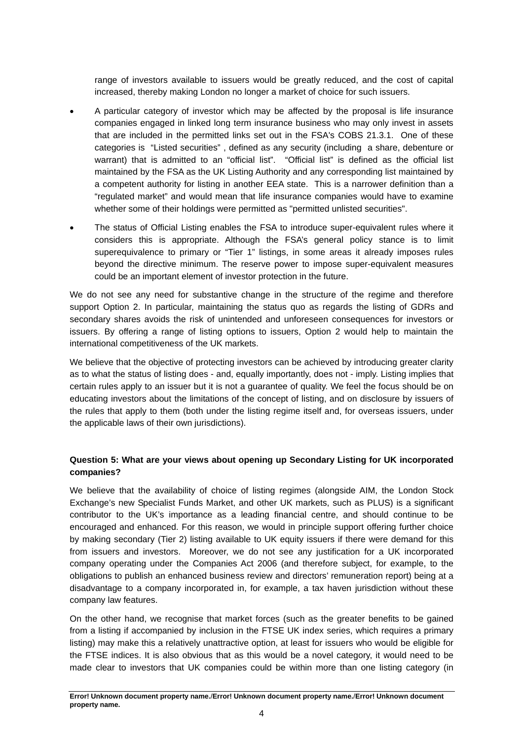range of investors available to issuers would be greatly reduced, and the cost of capital increased, thereby making London no longer a market of choice for such issuers.

- A particular category of investor which may be affected by the proposal is life insurance companies engaged in linked long term insurance business who may only invest in assets that are included in the permitted links set out in the FSA's COBS 21.3.1. One of these categories is "Listed securities" , defined as any security (including a share, debenture or warrant) that is admitted to an "official list". "Official list" is defined as the official list maintained by the FSA as the UK Listing Authority and any corresponding list maintained by a competent authority for listing in another EEA state. This is a narrower definition than a "regulated market" and would mean that life insurance companies would have to examine whether some of their holdings were permitted as "permitted unlisted securities".
- The status of Official Listing enables the FSA to introduce super-equivalent rules where it considers this is appropriate. Although the FSA's general policy stance is to limit superequivalence to primary or "Tier 1" listings, in some areas it already imposes rules beyond the directive minimum. The reserve power to impose super-equivalent measures could be an important element of investor protection in the future.

We do not see any need for substantive change in the structure of the regime and therefore support Option 2. In particular, maintaining the status quo as regards the listing of GDRs and secondary shares avoids the risk of unintended and unforeseen consequences for investors or issuers. By offering a range of listing options to issuers, Option 2 would help to maintain the international competitiveness of the UK markets.

We believe that the objective of protecting investors can be achieved by introducing greater clarity as to what the status of listing does - and, equally importantly, does not - imply. Listing implies that certain rules apply to an issuer but it is not a guarantee of quality. We feel the focus should be on educating investors about the limitations of the concept of listing, and on disclosure by issuers of the rules that apply to them (both under the listing regime itself and, for overseas issuers, under the applicable laws of their own jurisdictions).

#### **Question 5: What are your views about opening up Secondary Listing for UK incorporated companies?**

We believe that the availability of choice of listing regimes (alongside AIM, the London Stock Exchange's new Specialist Funds Market, and other UK markets, such as PLUS) is a significant contributor to the UK's importance as a leading financial centre, and should continue to be encouraged and enhanced. For this reason, we would in principle support offering further choice by making secondary (Tier 2) listing available to UK equity issuers if there were demand for this from issuers and investors. Moreover, we do not see any justification for a UK incorporated company operating under the Companies Act 2006 (and therefore subject, for example, to the obligations to publish an enhanced business review and directors' remuneration report) being at a disadvantage to a company incorporated in, for example, a tax haven jurisdiction without these company law features.

On the other hand, we recognise that market forces (such as the greater benefits to be gained from a listing if accompanied by inclusion in the FTSE UK index series, which requires a primary listing) may make this a relatively unattractive option, at least for issuers who would be eligible for the FTSE indices. It is also obvious that as this would be a novel category, it would need to be made clear to investors that UK companies could be within more than one listing category (in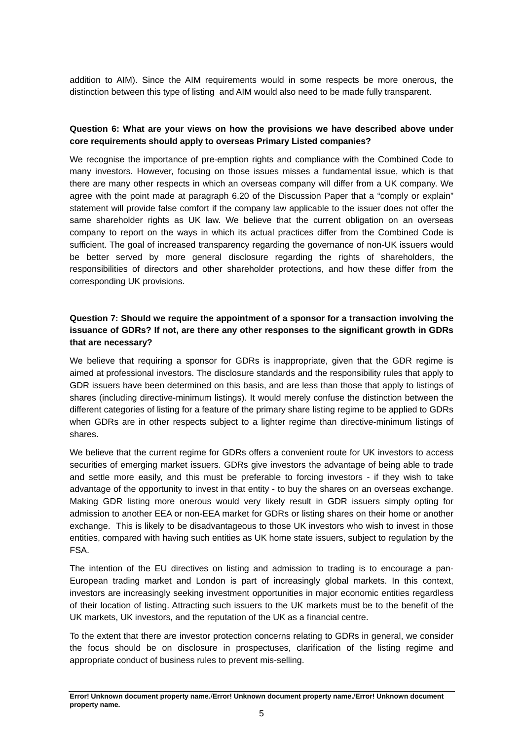addition to AIM). Since the AIM requirements would in some respects be more onerous, the distinction between this type of listing and AIM would also need to be made fully transparent.

#### **Question 6: What are your views on how the provisions we have described above under core requirements should apply to overseas Primary Listed companies?**

We recognise the importance of pre-emption rights and compliance with the Combined Code to many investors. However, focusing on those issues misses a fundamental issue, which is that there are many other respects in which an overseas company will differ from a UK company. We agree with the point made at paragraph 6.20 of the Discussion Paper that a "comply or explain" statement will provide false comfort if the company law applicable to the issuer does not offer the same shareholder rights as UK law. We believe that the current obligation on an overseas company to report on the ways in which its actual practices differ from the Combined Code is sufficient. The goal of increased transparency regarding the governance of non-UK issuers would be better served by more general disclosure regarding the rights of shareholders, the responsibilities of directors and other shareholder protections, and how these differ from the corresponding UK provisions.

#### **Question 7: Should we require the appointment of a sponsor for a transaction involving the issuance of GDRs? If not, are there any other responses to the significant growth in GDRs that are necessary?**

We believe that requiring a sponsor for GDRs is inappropriate, given that the GDR regime is aimed at professional investors. The disclosure standards and the responsibility rules that apply to GDR issuers have been determined on this basis, and are less than those that apply to listings of shares (including directive-minimum listings). It would merely confuse the distinction between the different categories of listing for a feature of the primary share listing regime to be applied to GDRs when GDRs are in other respects subject to a lighter regime than directive-minimum listings of shares.

We believe that the current regime for GDRs offers a convenient route for UK investors to access securities of emerging market issuers. GDRs give investors the advantage of being able to trade and settle more easily, and this must be preferable to forcing investors - if they wish to take advantage of the opportunity to invest in that entity - to buy the shares on an overseas exchange. Making GDR listing more onerous would very likely result in GDR issuers simply opting for admission to another EEA or non-EEA market for GDRs or listing shares on their home or another exchange. This is likely to be disadvantageous to those UK investors who wish to invest in those entities, compared with having such entities as UK home state issuers, subject to regulation by the FSA.

The intention of the EU directives on listing and admission to trading is to encourage a pan-European trading market and London is part of increasingly global markets. In this context, investors are increasingly seeking investment opportunities in major economic entities regardless of their location of listing. Attracting such issuers to the UK markets must be to the benefit of the UK markets, UK investors, and the reputation of the UK as a financial centre.

To the extent that there are investor protection concerns relating to GDRs in general, we consider the focus should be on disclosure in prospectuses, clarification of the listing regime and appropriate conduct of business rules to prevent mis-selling.